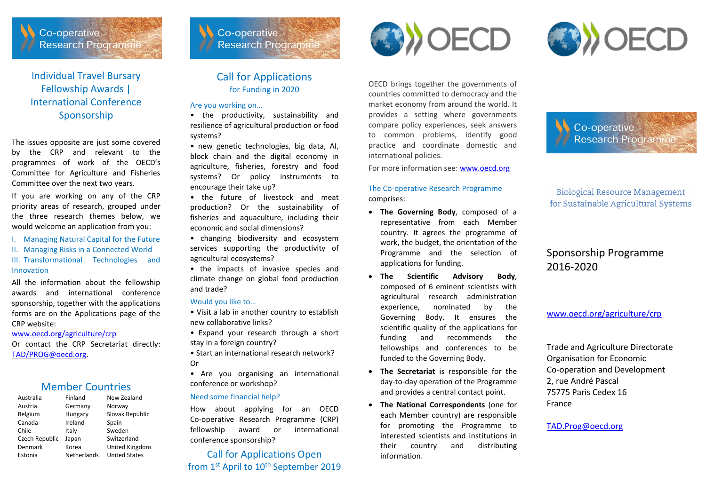

Individual Travel Bursary Fellowship Awards | International Conference Sponsorship

The issues opposite are just some covered by the CRP and relevant to the programmes of work of the OECD's Committee for Agriculture and Fisheries Committee over the next two years.

If you are working on any of the CRP priority areas of research, grouped under the three research themes below, we would welcome an application from you:

- I. Managing Natural Capital for the Future
- II. Managing Risks in a Connected World

III. Transformational Technologies and Innovation

All the information about the fellowship awards and international conference sponsorship, together with the applications forms are on the Applications page of the CRP website:

#### [www.oecd.org/agriculture/crp](http://www.oecd.org/agriculture/crp)

Or contact the CRP Secretariat directly: [TAD/PROG@oecd.org.](mailto:TAD/PROG@oecd.org)

## Member Countries

| Australia      | Finland     | New Zealand          |
|----------------|-------------|----------------------|
| Austria        | Germany     | Norway               |
| Belgium        | Hungary     | Slovak Republic      |
| Canada         | Ireland     | Spain                |
| Chile          | Italy       | Sweden               |
| Czech Republic | Japan       | Switzerland          |
| Denmark        | Korea       | United Kingdom       |
| Estonia        | Netherlands | <b>United States</b> |

## Call for Applications for Funding in 2020

**Research Programme** 

Co-operative

## Are you working on…

• the productivity, sustainability and resilience of agricultural production or food systems?

• new genetic technologies, big data, AI, block chain and the digital economy in agriculture, fisheries, forestry and food systems? Or policy instruments to encourage their take up?

• the future of livestock and meat production? Or the sustainability of fisheries and aquaculture, including their economic and social dimensions?

• changing biodiversity and ecosystem services supporting the productivity of agricultural ecosystems?

• the impacts of invasive species and climate change on global food production and trade?

#### Would you like to…

• Visit a lab in another country to establish new collaborative links?

• Expand your research through a short stay in a foreign country?

• Start an international research network? Or

• Are you organising an international conference or workshop?

#### Need some financial help?

How about applying for an OECD Co-operative Research Programme (CRP) fellowship award or international conference sponsorship?

Call for Applications Open from 1st April to 10<sup>th</sup> September 2019



OECD brings together the governments of countries committed to democracy and the market economy from around the world. It provides a setting where governments compare policy experiences, seek answers to common problems, identify good practice and coordinate domestic and international policies.

For more information see[: www.oecd.org](http://www.oecd.org/)

## The Co-operative Research Programme comprises:

- **The Governing Body**, composed of a representative from each Member country. It agrees the programme of work, the budget, the orientation of the Programme and the selection of applications for funding.
- **The Scientific Advisory Body**, composed of 6 eminent scientists with agricultural research administration experience, nominated by the Governing Body. It ensures the scientific quality of the applications for funding and recommends the fellowships and conferences to be funded to the Governing Body.
- **The Secretariat** is responsible for the day-to-day operation of the Programme and provides a central contact point.
- **The National Correspondents** (one for each Member country) are responsible for promoting the Programme to interested scientists and institutions in their country and distributing information.

Co-operative Research Programme

Biological Resource Management for Sustainable Agricultural Systems

## Sponsorship Programme 2016-2020

[www.oecd.org/agriculture/crp](http://www.oecd.org/agriculture/crp)

Trade and Agriculture Directorate Organisation for Economic Co-operation and Development 2, rue André Pascal 75775 Paris Cedex 16 France

[TAD.Prog@oecd.org](mailto:TAD.Prog@oecd.org)